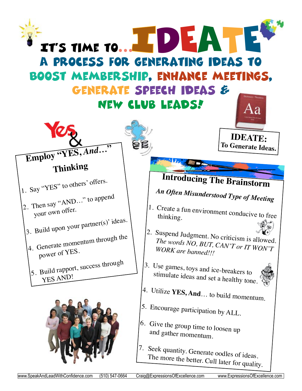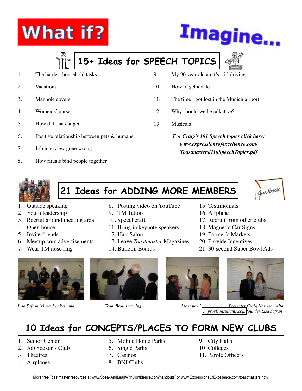# **What if?**



# **15+ Ideas for SPEECH TOPICS**

- 1. The hardest household tasks
- 2. Vacations
- 3. Manhole covers
- 4. Women's' purses
- 5. How did that cat get
- 6. Positive relationship between pets & humans
- 7. Job interview gone wrong
- 8. How rituals bind people together
- 9. My 90 year old aunt's still driving
- 10. How to get a date
- 11. The time I got lost in the Munich airport
- 12. Why should we be talkative?
- 13. Musicals
	- *For Craig's 101 Speech topics click here: www.expressionsofexcellence.com/ Toastmasters/110SpeechTopics.pdf*

15. Testimonials 16. Airplane

17. Recruit from other clubs 18. Magnetic Car Signs 19. Farmer's Markets 20. Provide Incentives

21. 30-second Super Bowl Ads



# **21 Ideas for ADDING MORE MEMBERS**



- 1. Outside speaking
- 2. Youth leadership
- 3. Recruit around meeting area
- 4. Open house
- 5. Invite friends
- 6. Meetup.com advertisements
- 7. Wear TM nose ring
- 

- 8. Posting video on YouTube
- 9. TM Tattoo
- 10. Speechcraft
- 11. Bring in keynote speakers
- 12. Hair Salon
- Leave 13. *Toastmaster* Magazines
- 14. Bulletin Boards





*Lisa Safran (r) teaches Yes, and… Team Brainstorming Ideas flow! Presenter Craig Harrison with  [ImprovConsultant](http://www.improvconsultants.com)s.com founder Lisa Safran* 

## **10 Ideas for CONCEPTS/PLACES TO FORM NEW CLUBS**

- 1. Senior Center
- 2. Job Seeker's Club
- 3. Theatres
- 4. Airplanes
- 5. Mobile Home Parks 6. Single Parks
- 7. Casinos
- 8. BNI Clubs

9. City Halls 10. Colleges 11. Parole Officers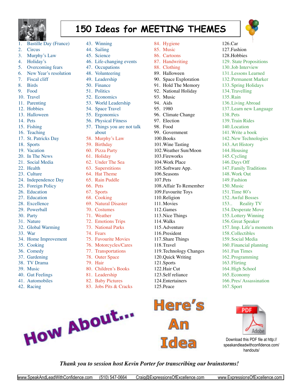

# **150 Ideas for MEETING THEMES**

84. Hygiene 85. Music 86. Cartoons 87. Handwriting 88. Clothing 89. Halloween

90. Space Exploration 91. Hold The Memory



 $126.Car$ 127. Fashion 128.Hobbies

- 1. Bastille Day (France)
- 2. Circus
- 3. Murphy's Law
- 4. Holiday's
- 5. Overcoming fears
- 6. New Year's resolution
- 7. Fiscal cliff
- 8. Birds
- 9. Food
- 10 Travel
- 11. Parenting
- 12. Hobbies
- 13. Halloween
- 14. Pets
- 15. Fishing
- 16. Teaching
- 17. St. Patricks Day
- 18. Sports
- 19. Vacation
- 20. In The News
- 21. Social Media
- 22. Health
- 23. Culture
- 24. Independence Day
- 25. Foreign Policy
- 26. Education
- 27. Education
- 28. Excellence
- 29. Powerball
- 30. Party
- 31. Nature
- 32. Global Warming
- 33. War
- 34. Home Improvement
- 35. Cooking
- 36. Comedy
- 37. Gardening
- 38. TV Drama
- 39. Music
- 40. Gut Feelings
- 41. Automobiles
- 42. Racing
- 43. Winning
- 44. Sailing
- 45. Science
- 46. Life-changing events
- 47. Occupations
- 48. Volunteering
- 49. Leadership
- 50. Finance
- 51. Politics
- 52. Economics
- 53. World Leadership
- 54. Space Travel
- 55. Ergonomics
- 56. Physical Fitness
- 57. Things you are not talk about
- 58. Murphy's Law
- 59. Birthday
- 60. Pizza Party
- 61. Holiday
- 62. Under The Sea
- 63. Superstitions
- 64. Hat Theme
- 65. Rain Puddle
- 66. Pets
- 67. Sports
- 68. Cooking
- 69. Natural Disaster
- 70. Costumes
- 71. Weather
- 72. Emotions Trips
- 73. National Parks
- 74. Fears
- 75. Favourite Movies
- 76. Motorcycles/Cares
- 77. Transportations
- 78. Outer Space
- 79. Hair
- 80. Children's Books
- 81. Leadership
- 82. Baby Pictures
- 83. Jobs Pits & Cracks

92. National Holiday 93 Music 94. Aids 95 1980 96. Climate Change 97. Election 98 Food 99. Government 100. Books 101.Wine Tasting 102.Weather Sun/Moon 103.Fireworks 104.Work Place 105.Software App. 106.Seasons 107. Pets 108.Affair To Remember 109.Favourite Toys 110.Religion 111. Movies 112.Games 113.Nice Things 114. Walks 115.Adventure 116.President 117.Share Things 118. Travel 119.Technology Changes 120.Quick Writing 121.Sports 122.Hair Cut 123.Self reliance 124.Entertainers



125. Peace

129. State Propositions 130.Job Interview 131.Lessons Learned 132. Permanent Marker 133. Spring Holidays 134.Travelling 135 Rain 136.Living Abroad 137.Learn new Language 138. Pets 139.Train Rides 140.Location 141.Write a book 142. New Technologies 143. Art History 144. Housing 145.Cycling 146. Days Off 147. Family Traditions 148.Work Out 149. Fashion 150. Music 151.Time 80's 152. Awful Bosses 153.. Reality TV 154. Desperate Move 155.Lottery Winning 156. Great Speaker 157. Imp. Life'a moments 158.Collectibles 159. Social Media 160. Financial planning 161. Fun Times 162. Programming 163. Flirting 164. High School 165.Economy 166. Pres/ Assassination



167. Sport

Download this PDF file at http:// speakandleadwithconfidence.com/ handouts/

### *Thank you to session host Kevin Porter for transcribing our brainstorms!*

How About...

- -
	-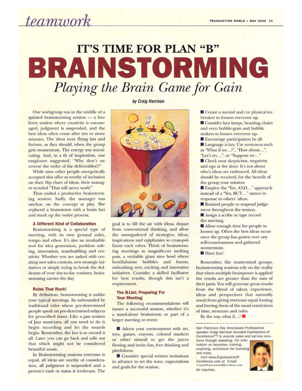*teamwork* 

# **IT'S TIME FOR PLAN "B"** BRAINSTORMING Playing the Brain Game for Gain

Our workgroup was in the middle of a spirited brainstorming session  $-$  a free form session where creativity is encouraged, judgment is suspended, and the best ideas often come after ten or more minutes. The ideas were flying fast and furious, as they should, when the group gets momentum. The energy was intoxicating. And, in a fit of inspiration, one employee suggested, "Why don't we reverse the order of the deliverables!?"

While nine other people energetically accepted this offer as worthy of inclusion on their flip chart of ideas, their manager scowled "That will never work!"

Thus ended a productive brainstorming session. Sadly, the manager was unclear on the concept at play. She replaced a brainstorm with a brain fart and stunk up the entire process.

#### A Different Kind of Collaboration

Brainstorming is a special type of meeting, with its own ground rules, tempo and ethos. It's also an invaluable tool for idea generation, problem solving, innovation, teambuilding and creativity. Whether you are tasked with creating new sales contests, new strategic initiatives or simply trying to break the doldrums of your day-to-day routines, brainstorming carries the day.

#### **Rules That Rock!**

By definition, brainstorming is unlike your typical meetings. Its unbounded by traditional rules where pre-determined people speak on pre-determined subjects for prescribed times. Like a jam session of Jazz musicians, all you need to do is begin recording and let the sounds begin. Remember, the key is to record it all. Later you can go back and edit out that which might not be considered beautiful music.

In Brainstorming sessions everyone is equal, all ideas are worthy of consideration, all judgment is suspended and a person's rank or status is irrelevant. The by Craig Harrison



goal is to fill the air with ideas, depart from conventional thinking, and allow the smorgasbord of strategies, ideas, inspirations and epiphanies to cross-pollinate each other. Think of brainstorming meetings as magnificent melting pots, a veritable giant stew bowl where bouillabaisse bubbles and bursts, unleashing new, exciting and innovative initiatives. Consider a skilled facilitator for best results, though this isn't a requirement.

#### **The B-List: Preparing For Your Meeting**

The following recommendations will insure a successful session, whether it's a stand-alone brainstorm or part of a larger meeting or event:

Adorn your environment with art, toys, games, crayons, colored markers or other stimuli to get the juices flowing and invite fun, free thinking and playfulness.

Consider special written invitations in advance to set the tone, expectations and goals for the session.

Create a mental and/or physical ice breaker to loosen everyone up. Consider lava lamps, beanbag chairs and even bubble-gum and bubble makers to loosen everyone up.

E Encourage participation by all. Language is key. Use sentences such as "What if we...?", "How about...", "Let's try...", or "Suppose we..."

Check your skepticism, negativity and ego at the door. It's not about who's ideas are embraced. All ideas should be received, for the benefit of the group your mission.

Employ the "Yes, AND..." approach instead of a "Yes, BUT..." stance in response to others' ideas.

Remind people to suspend judgement throughout the session.

Assign a scribe or tape record the meeting.

Allow enough time for people to loosen up. Often the best ideas occur once the group has gotten over any self-consciousness and gathered momentum.

■ Have fun!

Remember, like mastermind groups, brainstorming sessions rely on the reality that when multiple brainpower is applied the results are greater than the sum of their parts. You will generate great results from the blend of talent, experience, ideas and perspectives that naturally result from giving everyone equal footing and freeing them of the usual restrictions of time, structure and rules.

By the way, what if  $\therefore$  ?

San Francisco Bay Area-based Professional speaker Craig Harrison founded Expressions of Excellence!™ to provide sales and service solutions through speaking. For infor-

mation on keynotes, training, coaching, curriculum for licensing and more,

visit www.ExpressionsOf-Excellence.com or E-mail Craig@ExpressionsOfExcellence.com for inquiries.